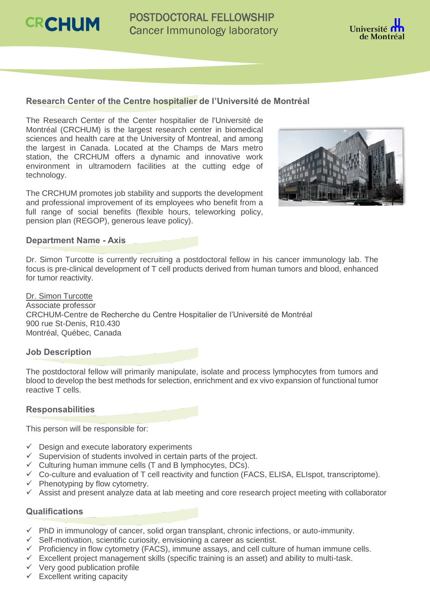**CRCHUM** 



# **Research Center of the Centre hospitalier de l'Université de Montréal**

The Research Center of the Center hospitalier de l'Université de Montréal (CRCHUM) is the largest research center in biomedical sciences and health care at the University of Montreal, and among the largest in Canada. Located at the Champs de Mars metro station, the CRCHUM offers a dynamic and innovative work environment in ultramodern facilities at the cutting edge of technology.

The CRCHUM promotes job stability and supports the development and professional improvement of its employees who benefit from a full range of social benefits (flexible hours, teleworking policy, pension plan (REGOP), generous leave policy).



# **Department Name - Axis**

Dr. Simon Turcotte is currently recruiting a postdoctoral fellow in his cancer immunology lab. The focus is pre-clinical development of T cell products derived from human tumors and blood, enhanced for tumor reactivity.

Dr. Simon Turcotte Associate professor CRCHUM-Centre de Recherche du Centre Hospitalier de l'Université de Montréal 900 rue St-Denis, R10.430 Montréal, Québec, Canada

## **Job Description**

The postdoctoral fellow will primarily manipulate, isolate and process lymphocytes from tumors and blood to develop the best methods for selection, enrichment and ex vivo expansion of functional tumor reactive T cells.

## **Responsabilities**

This person will be responsible for:

- $\checkmark$  Design and execute laboratory experiments
- $\checkmark$  Supervision of students involved in certain parts of the project.
- $\checkmark$  Culturing human immune cells (T and B lymphocytes, DCs).
- $\checkmark$  Co-culture and evaluation of T cell reactivity and function (FACS, ELISA, ELIspot, transcriptome).
- $\checkmark$  Phenotyping by flow cytometry.
- $\checkmark$  Assist and present analyze data at lab meeting and core research project meeting with collaborator

## **Qualifications**

- $\checkmark$  PhD in immunology of cancer, solid organ transplant, chronic infections, or auto-immunity.
- $\checkmark$  Self-motivation, scientific curiosity, envisioning a career as scientist.
- $\checkmark$  Proficiency in flow cytometry (FACS), immune assays, and cell culture of human immune cells.
- $\checkmark$  Excellent project management skills (specific training is an asset) and ability to multi-task.
- $\checkmark$  Very good publication profile
- $\checkmark$  Excellent writing capacity